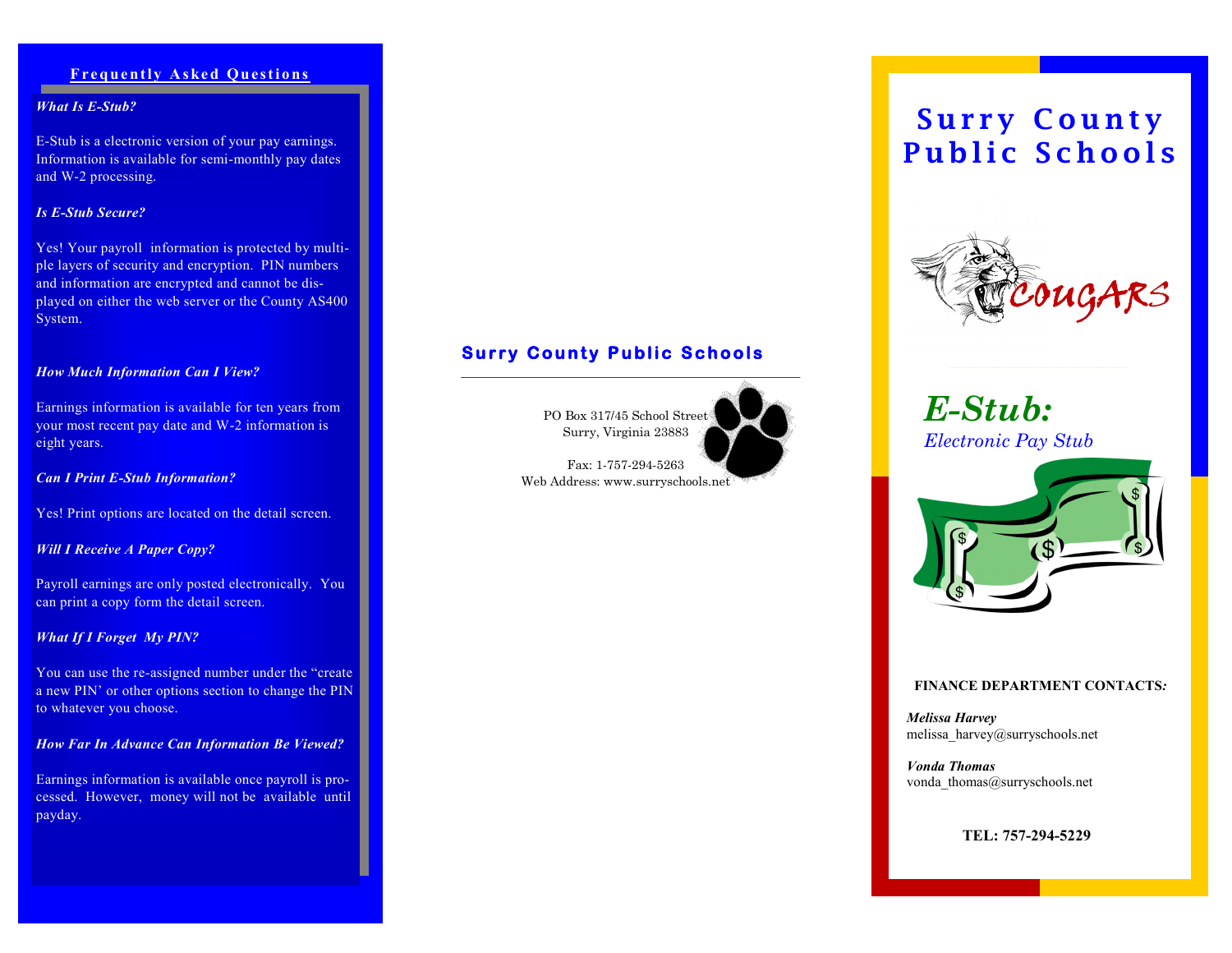## **Frequently Asked Questions**

### *What Is E-Stub?*

E-Stub is a electronic version of your pay earnings. Information is available for semi-monthly pay dates and W-2 processing.

## *Is E-Stub Secure?*

Yes! Your payroll information is protected by multiple layers of security and encryption. PIN numbers and information are encrypted and cannot be displayed on either the web server or the County AS400 System.

## *How Much Information Can I View?*

Earnings information is available for ten years from your most recent pay date and W-2 information is eight years.

### *Can I Print E-Stub Information?*

Yes! Print options are located on the detail screen.

## *Will I Receive A Paper Copy?*

Payroll earnings are only posted electronically. You can print a copy form the detail screen.

## *What If I Forget My PIN?*

You can use the re-assigned number under the "create a new PIN' or other options section to change the PIN to whatever you choose.

### *How Far In Advance Can Information Be Viewed?*

Earnings information is available once payroll is processed. However, money will not be available until payday.

## **Surry County Public Schools**

PO Box 317/45 School Street Surry, Virginia 23883

Fax: 1-757-294-5263 Web Address: www.surryschools.net





*E-Stub: Electronic Pay Stub*



### **FINANCE DEPARTMENT CONTACTS***:*

*Melissa Harvey* melissa\_harvey@surryschools.net

*Vonda Thomas* vonda\_thomas@surryschools.net

**TEL: 757-294-5229**